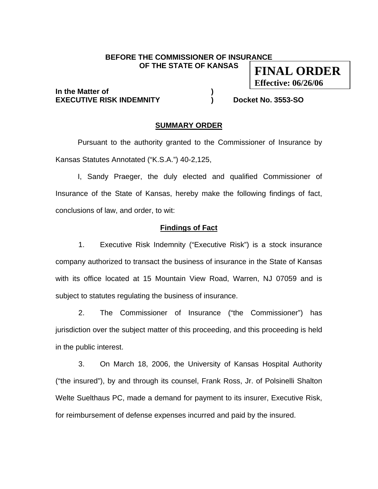#### **BEFORE THE COMMISSIONER OF INSURANCE OF THE STATE OF KANSAS FINAL ORDER**

## **In the Matter of**  and **) EXECUTIVE RISK INDEMNITY ) Docket No. 3553-SO**

**Effective: 06/26/06**

### **SUMMARY ORDER**

 Pursuant to the authority granted to the Commissioner of Insurance by Kansas Statutes Annotated ("K.S.A.") 40-2,125,

 I, Sandy Praeger, the duly elected and qualified Commissioner of Insurance of the State of Kansas, hereby make the following findings of fact, conclusions of law, and order, to wit:

## **Findings of Fact**

1. Executive Risk Indemnity ("Executive Risk") is a stock insurance company authorized to transact the business of insurance in the State of Kansas with its office located at 15 Mountain View Road, Warren, NJ 07059 and is subject to statutes regulating the business of insurance.

2. The Commissioner of Insurance ("the Commissioner") has jurisdiction over the subject matter of this proceeding, and this proceeding is held in the public interest.

3. On March 18, 2006, the University of Kansas Hospital Authority ("the insured"), by and through its counsel, Frank Ross, Jr. of Polsinelli Shalton Welte Suelthaus PC, made a demand for payment to its insurer, Executive Risk, for reimbursement of defense expenses incurred and paid by the insured.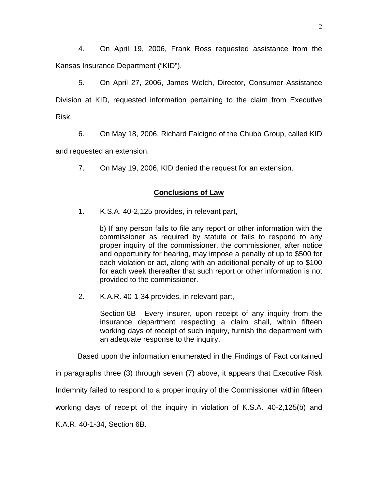4. On April 19, 2006, Frank Ross requested assistance from the Kansas Insurance Department ("KID").

5. On April 27, 2006, James Welch, Director, Consumer Assistance Division at KID, requested information pertaining to the claim from Executive Risk.

6. On May 18, 2006, Richard Falcigno of the Chubb Group, called KID and requested an extension.

7. On May 19, 2006, KID denied the request for an extension.

# **Conclusions of Law**

1. K.S.A. 40-2,125 provides, in relevant part,

b) If any person fails to file any report or other information with the commissioner as required by statute or fails to respond to any proper inquiry of the commissioner, the commissioner, after notice and opportunity for hearing, may impose a penalty of up to \$500 for each violation or act, along with an additional penalty of up to \$100 for each week thereafter that such report or other information is not provided to the commissioner.

2. K.A.R. 40-1-34 provides, in relevant part,

Section 6B Every insurer, upon receipt of any inquiry from the insurance department respecting a claim shall, within fifteen working days of receipt of such inquiry, furnish the department with an adequate response to the inquiry.

Based upon the information enumerated in the Findings of Fact contained

in paragraphs three (3) through seven (7) above, it appears that Executive Risk

Indemnity failed to respond to a proper inquiry of the Commissioner within fifteen

working days of receipt of the inquiry in violation of K.S.A. 40-2,125(b) and

K.A.R. 40-1-34, Section 6B.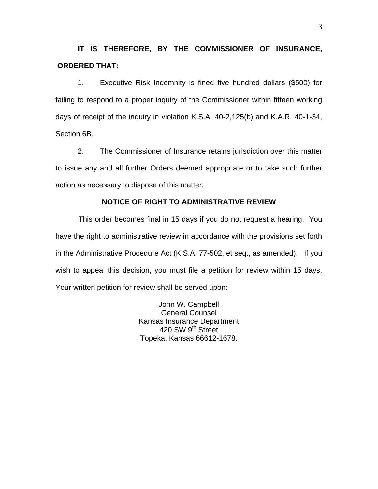**IT IS THEREFORE, BY THE COMMISSIONER OF INSURANCE, ORDERED THAT:** 

1. Executive Risk Indemnity is fined five hundred dollars (\$500) for failing to respond to a proper inquiry of the Commissioner within fifteen working days of receipt of the inquiry in violation K.S.A. 40-2,125(b) and K.A.R. 40-1-34, Section 6B.

2. The Commissioner of Insurance retains jurisdiction over this matter to issue any and all further Orders deemed appropriate or to take such further action as necessary to dispose of this matter.

## **NOTICE OF RIGHT TO ADMINISTRATIVE REVIEW**

This order becomes final in 15 days if you do not request a hearing. You have the right to administrative review in accordance with the provisions set forth in the Administrative Procedure Act (K.S.A. 77-502, et seq., as amended). If you wish to appeal this decision, you must file a petition for review within 15 days. Your written petition for review shall be served upon:

> John W. Campbell General Counsel Kansas Insurance Department 420 SW 9<sup>th</sup> Street Topeka, Kansas 66612-1678.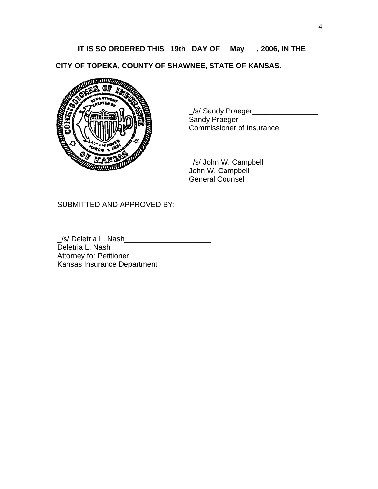# **IT IS SO ORDERED THIS \_19th\_ DAY OF \_\_May\_\_\_, 2006, IN THE**

**CITY OF TOPEKA, COUNTY OF SHAWNEE, STATE OF KANSAS.** 



\_/s/ Sandy Praeger\_\_\_\_\_\_\_\_\_\_\_\_\_\_\_\_ Sandy Praeger Commissioner of Insurance

 \_/s/ John W. Campbell\_\_\_\_\_\_\_\_\_\_\_\_\_ John W. Campbell General Counsel

SUBMITTED AND APPROVED BY:

/s/ Deletria L. Nash Deletria L. Nash Attorney for Petitioner Kansas Insurance Department